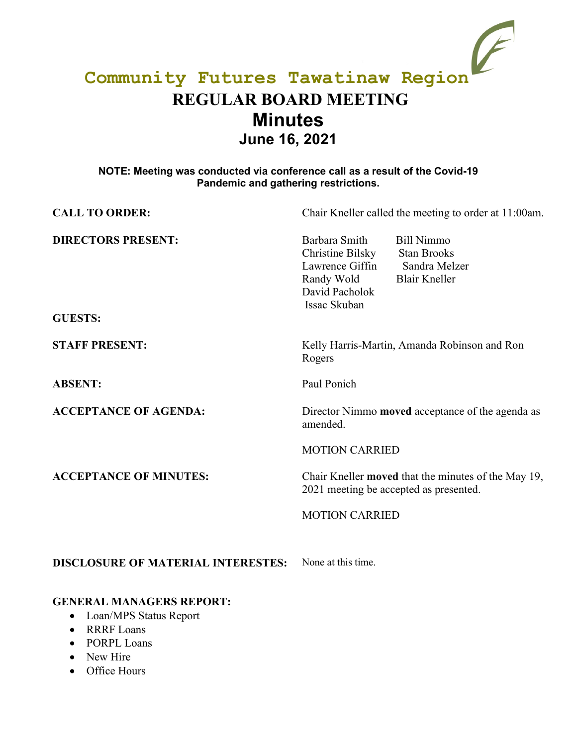# **Community Futures Tawatinaw Region REGULAR BOARD MEETING Minutes June 16, 2021**

## **NOTE: Meeting was conducted via conference call as a result of the Covid-19 Pandemic and gathering restrictions.**

| <b>CALL TO ORDER:</b>                       | Chair Kneller called the meeting to order at 11:00am.                                                                                                                                    |
|---------------------------------------------|------------------------------------------------------------------------------------------------------------------------------------------------------------------------------------------|
| <b>DIRECTORS PRESENT:</b><br><b>GUESTS:</b> | Barbara Smith<br><b>Bill Nimmo</b><br>Christine Bilsky<br><b>Stan Brooks</b><br>Lawrence Giffin<br>Sandra Melzer<br><b>Blair Kneller</b><br>Randy Wold<br>David Pacholok<br>Issac Skuban |
| <b>STAFF PRESENT:</b>                       | Kelly Harris-Martin, Amanda Robinson and Ron<br>Rogers                                                                                                                                   |
| <b>ABSENT:</b>                              | Paul Ponich                                                                                                                                                                              |
| <b>ACCEPTANCE OF AGENDA:</b>                | Director Nimmo <b>moved</b> acceptance of the agenda as<br>amended.                                                                                                                      |
|                                             | <b>MOTION CARRIED</b>                                                                                                                                                                    |
| <b>ACCEPTANCE OF MINUTES:</b>               | Chair Kneller moved that the minutes of the May 19,<br>2021 meeting be accepted as presented.                                                                                            |
|                                             | <b>MOTION CARRIED</b>                                                                                                                                                                    |
| <b>DISCLOSURE OF MATERIAL INTERESTES:</b>   | None at this time.                                                                                                                                                                       |

## **GENERAL MANAGERS REPORT:**

- Loan/MPS Status Report
- RRRF Loans
- PORPL Loans
- New Hire
- Office Hours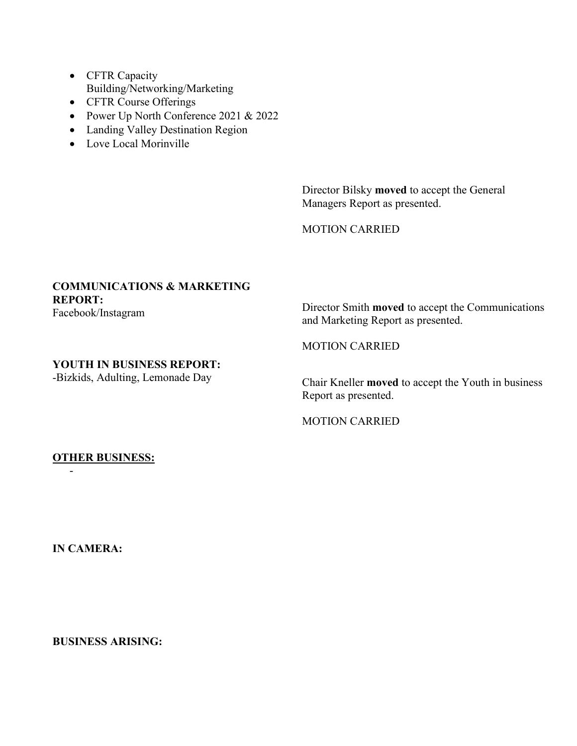- CFTR Capacity Building/Networking/Marketing
- CFTR Course Offerings
- Power Up North Conference 2021 & 2022
- Landing Valley Destination Region
- Love Local Morinville

Director Bilsky **moved** to accept the General Managers Report as presented.

MOTION CARRIED

# **COMMUNICATIONS & MARKETING REPORT:**

Facebook/Instagram

Director Smith **moved** to accept the Communications and Marketing Report as presented.

### **YOUTH IN BUSINESS REPORT:**

-Bizkids, Adulting, Lemonade Day

MOTION CARRIED

Chair Kneller **moved** to accept the Youth in business Report as presented.

MOTION CARRIED

### **OTHER BUSINESS:**

**IN CAMERA:**

-

**BUSINESS ARISING:**